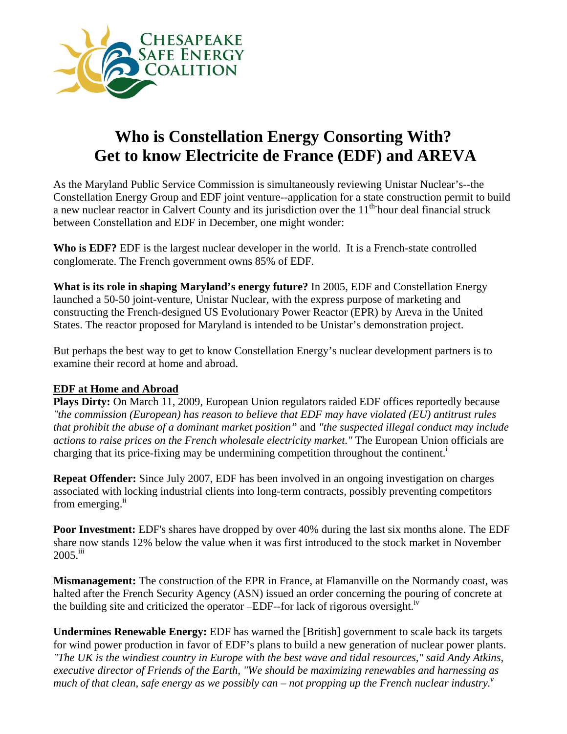

## **Who is Constellation Energy Consorting With? Get to know Electricite de France (EDF) and AREVA**

As the Maryland Public Service Commission is simultaneously reviewing Unistar Nuclear's--the Constellation Energy Group and EDF joint venture--application for a state construction permit to build a new nuclear reactor in Calvert County and its jurisdiction over the  $11<sup>th</sup>$  hour deal financial struck between Constellation and EDF in December, one might wonder:

**Who is EDF?** EDF is the largest nuclear developer in the world. It is a French-state controlled conglomerate. The French government owns 85% of EDF.

**What is its role in shaping Maryland's energy future?** In 2005, EDF and Constellation Energy launched a 50-50 joint-venture, Unistar Nuclear, with the express purpose of marketing and constructing the French-designed US Evolutionary Power Reactor (EPR) by Areva in the United States. The reactor proposed for Maryland is intended to be Unistar's demonstration project.

But perhaps the best way to get to know Constellation Energy's nuclear development partners is to examine their record at home and abroad.

## **EDF at Home and Abroad**

**Plays Dirty:** On March 11, 2009, European Union regulators raided EDF offices reportedly because *"the commission (European) has reason to believe that EDF may have violated (EU) antitrust rules that prohibit the abuse of a dominant market position"* and *"the suspected illegal conduct may include actions to raise prices on the French wholesale electricity market."* The European Union officials are charging that its price-fixing may be undermining competition throughout the continent.<sup>i</sup>

**Repeat Offender:** Since July 2007, EDF has been involved in an ongoing investigation on charges associated with locking industrial clients into long-term contracts, possibly preventing competitors from emerging. $\mathrm{^{11}}$ 

**Poor Investment:** EDF's shares have dropped by over 40% during the last six months alone. The EDF share now stands 12% below the value when it was first introduced to the stock market in November 2005.iii

**Mismanagement:** The construction of the EPR in France, at Flamanville on the Normandy coast, was halted after the French Security Agency (ASN) issued an order concerning the pouring of concrete at the building site and criticized the operator  $-EDF$ -for lack of rigorous oversight.<sup>iv</sup>

**Undermines Renewable Energy:** EDF has warned the [British] government to scale back its targets for wind power production in favor of EDF's plans to build a new generation of nuclear power plants. *"The UK is the windiest country in Europe with the best wave and tidal resources," said Andy Atkins, executive director of Friends of the Earth, "We should be maximizing renewables and harnessing as much of that clean, safe energy as we possibly can – not propping up the French nuclear industry.*<sup>*v*</sup>